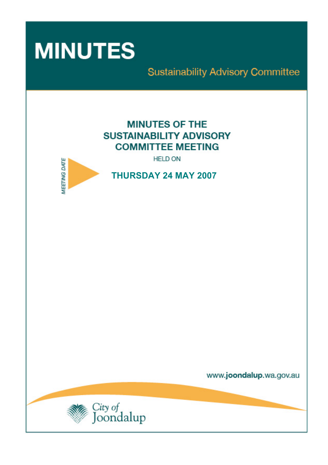

# **Sustainability Advisory Committee**

# **MINUTES OF THE SUSTAINABILITY ADVISORY COMMITTEE MEETING**

**HELD ON** 



**THURSDAY 24 MAY 2007** 

www.joondalup.wa.gov.au

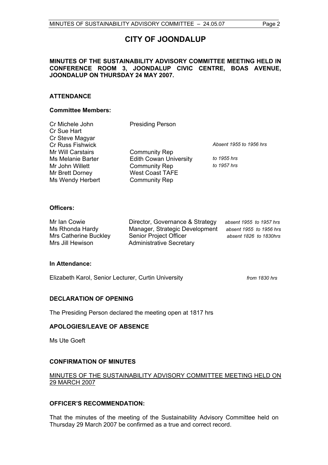# **CITY OF JOONDALUP**

# **MINUTES OF THE SUSTAINABILITY ADVISORY COMMITTEE MEETING HELD IN CONFERENCE ROOM 3, JOONDALUP CIVIC CENTRE, BOAS AVENUE, JOONDALUP ON THURSDAY 24 MAY 2007.**

# **ATTENDANCE**

#### **Committee Members:**

| Cr Michele John         | <b>Presiding Person</b>       |                         |
|-------------------------|-------------------------------|-------------------------|
| Cr Sue Hart             |                               |                         |
| Cr Steve Magyar         |                               |                         |
| <b>Cr Russ Fishwick</b> |                               | Absent 1955 to 1956 hrs |
| Mr Will Carstairs       | <b>Community Rep</b>          |                         |
| Ms Melanie Barter       | <b>Edith Cowan University</b> | to 1955 hrs             |
| Mr John Willett         | <b>Community Rep</b>          | to 1957 hrs             |
| Mr Brett Dorney         | <b>West Coast TAFE</b>        |                         |
| Ms Wendy Herbert        | <b>Community Rep</b>          |                         |
|                         |                               |                         |

### **Officers:**

| Mr Ian Cowie          | Director, Governance & Strategy | absent 1955 to 1957 hrs |
|-----------------------|---------------------------------|-------------------------|
| Ms Rhonda Hardy       | Manager, Strategic Development  | absent 1955 to 1956 hrs |
| Mrs Catherine Buckley | Senior Project Officer          | absent 1826 to 1830hrs  |
| Mrs Jill Hewison      | <b>Administrative Secretary</b> |                         |

#### **In Attendance:**

Elizabeth Karol, Senior Lecturer, Curtin University *from 1830 hrs*

# **DECLARATION OF OPENING**

The Presiding Person declared the meeting open at 1817 hrs

# **APOLOGIES/LEAVE OF ABSENCE**

Ms Ute Goeft

# **CONFIRMATION OF MINUTES**

# MINUTES OF THE SUSTAINABILITY ADVISORY COMMITTEE MEETING HELD ON 29 MARCH 2007

#### **OFFICER'S RECOMMENDATION:**

That the minutes of the meeting of the Sustainability Advisory Committee held on Thursday 29 March 2007 be confirmed as a true and correct record.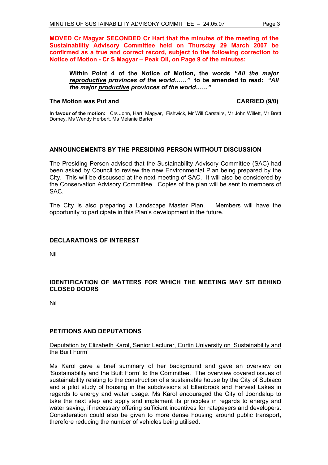**MOVED Cr Magyar SECONDED Cr Hart that the minutes of the meeting of the Sustainability Advisory Committee held on Thursday 29 March 2007 be confirmed as a true and correct record, subject to the following correction to Notice of Motion - Cr S Magyar – Peak Oil, on Page 9 of the minutes:** 

**Within Point 4 of the Notice of Motion, the words** *"All the major reproductive provinces of the world……"* **to be amended to read:** *"All the major productive provinces of the world……"*

### The Motion was Put and **CARRIED** (9/0)

**In favour of the motion:** Crs John, Hart, Magyar, Fishwick, Mr Will Carstairs, Mr John Willett, Mr Brett Dorney, Ms Wendy Herbert, Ms Melanie Barter

# **ANNOUNCEMENTS BY THE PRESIDING PERSON WITHOUT DISCUSSION**

The Presiding Person advised that the Sustainability Advisory Committee (SAC) had been asked by Council to review the new Environmental Plan being prepared by the City. This will be discussed at the next meeting of SAC. It will also be considered by the Conservation Advisory Committee. Copies of the plan will be sent to members of SAC.

The City is also preparing a Landscape Master Plan. Members will have the opportunity to participate in this Plan's development in the future.

# **DECLARATIONS OF INTEREST**

Nil

# **IDENTIFICATION OF MATTERS FOR WHICH THE MEETING MAY SIT BEHIND CLOSED DOORS**

Nil

# **PETITIONS AND DEPUTATIONS**

### Deputation by Elizabeth Karol, Senior Lecturer, Curtin University on 'Sustainability and the Built Form'

Ms Karol gave a brief summary of her background and gave an overview on 'Sustainability and the Built Form' to the Committee. The overview covered issues of sustainability relating to the construction of a sustainable house by the City of Subiaco and a pilot study of housing in the subdivisions at Ellenbrook and Harvest Lakes in regards to energy and water usage. Ms Karol encouraged the City of Joondalup to take the next step and apply and implement its principles in regards to energy and water saving, if necessary offering sufficient incentives for ratepayers and developers. Consideration could also be given to more dense housing around public transport, therefore reducing the number of vehicles being utilised.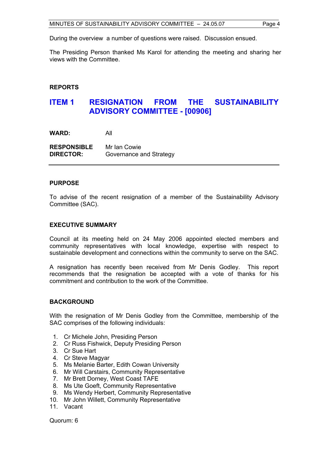During the overview a number of questions were raised. Discussion ensued.

The Presiding Person thanked Ms Karol for attending the meeting and sharing her views with the Committee.

# **REPORTS**

# **ITEM 1 RESIGNATION FROM THE SUSTAINABILITY ADVISORY COMMITTEE - [00906]**

**WARD:** All

**RESPONSIBLE** Mr Ian Cowie **DIRECTOR:** Governance and Strategy

#### **PURPOSE**

To advise of the recent resignation of a member of the Sustainability Advisory Committee (SAC).

### **EXECUTIVE SUMMARY**

Council at its meeting held on 24 May 2006 appointed elected members and community representatives with local knowledge, expertise with respect to sustainable development and connections within the community to serve on the SAC.

A resignation has recently been received from Mr Denis Godley. This report recommends that the resignation be accepted with a vote of thanks for his commitment and contribution to the work of the Committee.

# **BACKGROUND**

With the resignation of Mr Denis Godley from the Committee, membership of the SAC comprises of the following individuals:

- 1. Cr Michele John, Presiding Person
- 2. Cr Russ Fishwick, Deputy Presiding Person
- 3. Cr Sue Hart
- 4. Cr Steve Magyar
- 5. Ms Melanie Barter, Edith Cowan University
- 6. Mr Will Carstairs, Community Representative
- 7. Mr Brett Dorney, West Coast TAFE
- 8. Ms Ute Goeft, Community Representative
- 9. Ms Wendy Herbert, Community Representative
- 10. Mr John Willett, Community Representative
- 11. Vacant

Quorum: 6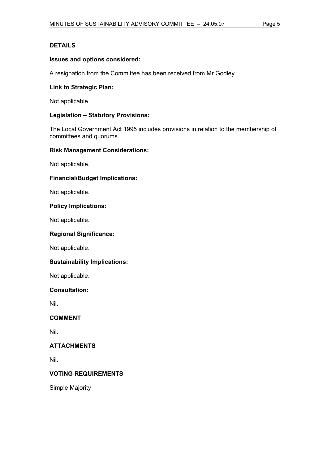# **DETAILS**

# **Issues and options considered:**

A resignation from the Committee has been received from Mr Godley.

# **Link to Strategic Plan:**

Not applicable.

# **Legislation – Statutory Provisions:**

The Local Government Act 1995 includes provisions in relation to the membership of committees and quorums.

# **Risk Management Considerations:**

Not applicable.

# **Financial/Budget Implications:**

Not applicable.

# **Policy Implications:**

Not applicable.

# **Regional Significance:**

Not applicable.

# **Sustainability Implications:**

Not applicable.

# **Consultation:**

Nil.

# **COMMENT**

Nil.

# **ATTACHMENTS**

Nil.

# **VOTING REQUIREMENTS**

Simple Majority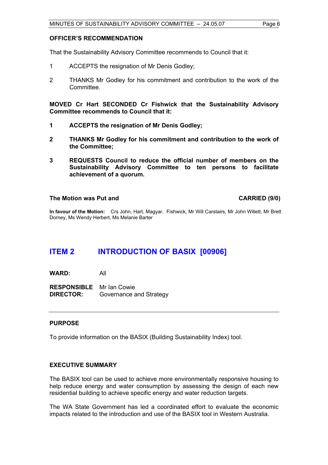### **OFFICER'S RECOMMENDATION**

That the Sustainability Advisory Committee recommends to Council that it:

- 1 ACCEPTS the resignation of Mr Denis Godley;
- 2 THANKS Mr Godley for his commitment and contribution to the work of the **Committee.**

**MOVED Cr Hart SECONDED Cr Fishwick that the Sustainability Advisory Committee recommends to Council that it:** 

- **1 ACCEPTS the resignation of Mr Denis Godley;**
- **2 THANKS Mr Godley for his commitment and contribution to the work of the Committee;**
- **3 REQUESTS Council to reduce the official number of members on the Sustainability Advisory Committee to ten persons to facilitate achievement of a quorum.**

#### **The Motion was Put and CARRIED (9/0)**

**In favour of the Motion:** Crs John, Hart, Magyar, Fishwick, Mr Will Carstairs, Mr John Willett, Mr Brett Dorney, Ms Wendy Herbert, Ms Melanie Barter

# **ITEM 2 INTRODUCTION OF BASIX [00906]**

**WARD:** All

**RESPONSIBLE** Mr Ian Cowie **DIRECTOR:** Governance and Strategy

# **PURPOSE**

To provide information on the BASIX (Building Sustainability Index) tool.

# **EXECUTIVE SUMMARY**

The BASIX tool can be used to achieve more environmentally responsive housing to help reduce energy and water consumption by assessing the design of each new residential building to achieve specific energy and water reduction targets.

The WA State Government has led a coordinated effort to evaluate the economic impacts related to the introduction and use of the BASIX tool in Western Australia.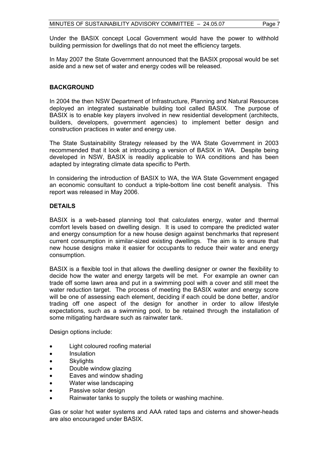Under the BASIX concept Local Government would have the power to withhold building permission for dwellings that do not meet the efficiency targets.

In May 2007 the State Government announced that the BASIX proposal would be set aside and a new set of water and energy codes will be released.

# **BACKGROUND**

In 2004 the then NSW Department of Infrastructure, Planning and Natural Resources deployed an integrated sustainable building tool called BASIX. The purpose of BASIX is to enable key players involved in new residential development (architects, builders, developers, government agencies) to implement better design and construction practices in water and energy use.

The State Sustainability Strategy released by the WA State Government in 2003 recommended that it look at introducing a version of BASIX in WA. Despite being developed in NSW, BASIX is readily applicable to WA conditions and has been adapted by integrating climate data specific to Perth.

In considering the introduction of BASIX to WA, the WA State Government engaged an economic consultant to conduct a triple-bottom line cost benefit analysis. This report was released in May 2006.

### **DETAILS**

BASIX is a web-based planning tool that calculates energy, water and thermal comfort levels based on dwelling design. It is used to compare the predicted water and energy consumption for a new house design against benchmarks that represent current consumption in similar-sized existing dwellings. The aim is to ensure that new house designs make it easier for occupants to reduce their water and energy consumption.

BASIX is a flexible tool in that allows the dwelling designer or owner the flexibility to decide how the water and energy targets will be met. For example an owner can trade off some lawn area and put in a swimming pool with a cover and still meet the water reduction target. The process of meeting the BASIX water and energy score will be one of assessing each element, deciding if each could be done better, and/or trading off one aspect of the design for another in order to allow lifestyle expectations, such as a swimming pool, to be retained through the installation of some mitigating hardware such as rainwater tank.

Design options include:

- Light coloured roofing material
- Insulation
- **Skylights**
- Double window glazing
- Eaves and window shading
- Water wise landscaping
- Passive solar design
- Rainwater tanks to supply the toilets or washing machine.

Gas or solar hot water systems and AAA rated taps and cisterns and shower-heads are also encouraged under BASIX.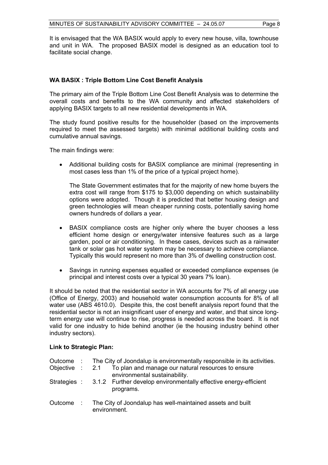It is envisaged that the WA BASIX would apply to every new house, villa, townhouse and unit in WA. The proposed BASIX model is designed as an education tool to facilitate social change.

# **WA BASIX : Triple Bottom Line Cost Benefit Analysis**

The primary aim of the Triple Bottom Line Cost Benefit Analysis was to determine the overall costs and benefits to the WA community and affected stakeholders of applying BASIX targets to all new residential developments in WA.

The study found positive results for the householder (based on the improvements required to meet the assessed targets) with minimal additional building costs and cumulative annual savings.

The main findings were:

• Additional building costs for BASIX compliance are minimal (representing in most cases less than 1% of the price of a typical project home).

The State Government estimates that for the majority of new home buyers the extra cost will range from \$175 to \$3,000 depending on which sustainability options were adopted. Though it is predicted that better housing design and green technologies will mean cheaper running costs, potentially saving home owners hundreds of dollars a year.

- BASIX compliance costs are higher only where the buyer chooses a less efficient home design or energy/water intensive features such as a large garden, pool or air conditioning. In these cases, devices such as a rainwater tank or solar gas hot water system may be necessary to achieve compliance. Typically this would represent no more than 3% of dwelling construction cost.
- Savings in running expenses equalled or exceeded compliance expenses (ie principal and interest costs over a typical 30 years 7% loan).

It should be noted that the residential sector in WA accounts for 7% of all energy use (Office of Energy, 2003) and household water consumption accounts for 8% of all water use (ABS 4610.0). Despite this, the cost benefit analysis report found that the residential sector is not an insignificant user of energy and water, and that since longterm energy use will continue to rise, progress is needed across the board. It is not valid for one industry to hide behind another (ie the housing industry behind other industry sectors).

# **Link to Strategic Plan:**

|  | Outcome : The City of Joondalup is environmentally responsible in its activities.                   |
|--|-----------------------------------------------------------------------------------------------------|
|  | Objective : 2.1 To plan and manage our natural resources to ensure<br>environmental sustainability. |
|  | Strategies : 3.1.2 Further develop environmentally effective energy-efficient<br>programs.          |
|  | Outcome : The City of Joondalup has well-maintained assets and built<br>environment.                |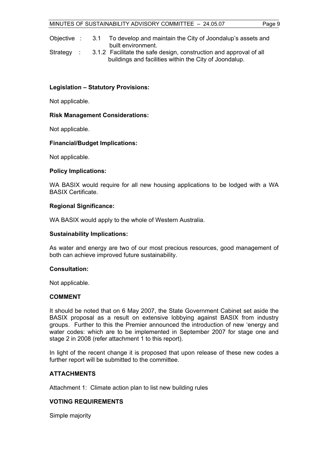Objective : 3.1 To develop and maintain the City of Joondalup's assets and built environment.

Strategy : 3.1.2 Facilitate the safe design, construction and approval of all buildings and facilities within the City of Joondalup.

### **Legislation – Statutory Provisions:**

Not applicable.

### **Risk Management Considerations:**

Not applicable.

### **Financial/Budget Implications:**

Not applicable.

#### **Policy Implications:**

WA BASIX would require for all new housing applications to be lodged with a WA BASIX Certificate.

### **Regional Significance:**

WA BASIX would apply to the whole of Western Australia.

#### **Sustainability Implications:**

As water and energy are two of our most precious resources, good management of both can achieve improved future sustainability.

#### **Consultation:**

Not applicable.

#### **COMMENT**

It should be noted that on 6 May 2007, the State Government Cabinet set aside the BASIX proposal as a result on extensive lobbying against BASIX from industry groups. Further to this the Premier announced the introduction of new 'energy and water codes: which are to be implemented in September 2007 for stage one and stage 2 in 2008 (refer attachment 1 to this report).

In light of the recent change it is proposed that upon release of these new codes a further report will be submitted to the committee.

# **ATTACHMENTS**

Attachment 1: Climate action plan to list new building rules

# **VOTING REQUIREMENTS**

Simple majority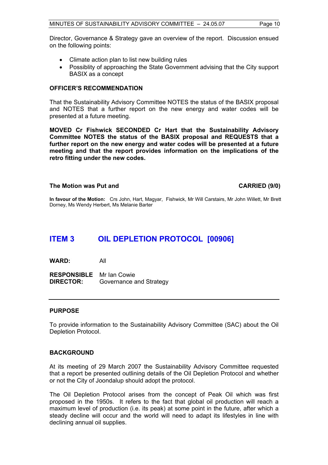Director, Governance & Strategy gave an overview of the report. Discussion ensued on the following points:

- Climate action plan to list new building rules
- Possiblity of approaching the State Government advising that the City support BASIX as a concept

### **OFFICER'S RECOMMENDATION**

That the Sustainability Advisory Committee NOTES the status of the BASIX proposal and NOTES that a further report on the new energy and water codes will be presented at a future meeting.

**MOVED Cr Fishwick SECONDED Cr Hart that the Sustainability Advisory Committee NOTES the status of the BASIX proposal and REQUESTS that a further report on the new energy and water codes will be presented at a future meeting and that the report provides information on the implications of the retro fitting under the new codes.** 

#### **The Motion was Put and CARRIED (9/0)**

**In favour of the Motion:** Crs John, Hart, Magyar, Fishwick, Mr Will Carstairs, Mr John Willett, Mr Brett Dorney, Ms Wendy Herbert, Ms Melanie Barter

# **ITEM 3 OIL DEPLETION PROTOCOL [00906]**

**WARD:** All

**RESPONSIBLE** Mr Ian Cowie **DIRECTOR:** Governance and Strategy

# **PURPOSE**

To provide information to the Sustainability Advisory Committee (SAC) about the Oil Depletion Protocol.

#### **BACKGROUND**

At its meeting of 29 March 2007 the Sustainability Advisory Committee requested that a report be presented outlining details of the Oil Depletion Protocol and whether or not the City of Joondalup should adopt the protocol.

The Oil Depletion Protocol arises from the concept of Peak Oil which was first proposed in the 1950s. It refers to the fact that global oil production will reach a maximum level of production (i.e. its peak) at some point in the future, after which a steady decline will occur and the world will need to adapt its lifestyles in line with declining annual oil supplies.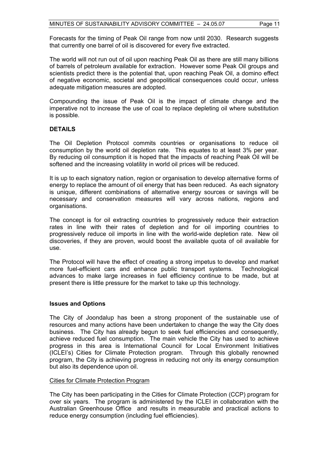Forecasts for the timing of Peak Oil range from now until 2030. Research suggests that currently one barrel of oil is discovered for every five extracted.

The world will not run out of oil upon reaching Peak Oil as there are still many billions of barrels of petroleum available for extraction. However some Peak Oil groups and scientists predict there is the potential that, upon reaching Peak Oil, a domino effect of negative economic, societal and geopolitical consequences could occur, unless adequate mitigation measures are adopted.

Compounding the issue of Peak Oil is the impact of climate change and the imperative not to increase the use of coal to replace depleting oil where substitution is possible.

### **DETAILS**

The Oil Depletion Protocol commits countries or organisations to reduce oil consumption by the world oil depletion rate. This equates to at least 3% per year. By reducing oil consumption it is hoped that the impacts of reaching Peak Oil will be softened and the increasing volatility in world oil prices will be reduced.

It is up to each signatory nation, region or organisation to develop alternative forms of energy to replace the amount of oil energy that has been reduced. As each signatory is unique, different combinations of alternative energy sources or savings will be necessary and conservation measures will vary across nations, regions and organisations.

The concept is for oil extracting countries to progressively reduce their extraction rates in line with their rates of depletion and for oil importing countries to progressively reduce oil imports in line with the world-wide depletion rate. New oil discoveries, if they are proven, would boost the available quota of oil available for use.

The Protocol will have the effect of creating a strong impetus to develop and market more fuel-efficient cars and enhance public transport systems. Technological advances to make large increases in fuel efficiency continue to be made, but at present there is little pressure for the market to take up this technology.

#### **Issues and Options**

The City of Joondalup has been a strong proponent of the sustainable use of resources and many actions have been undertaken to change the way the City does business. The City has already begun to seek fuel efficiencies and consequently, achieve reduced fuel consumption. The main vehicle the City has used to achieve progress in this area is International Council for Local Environment Initiatives (ICLEI's) Cities for Climate Protection program. Through this globally renowned program, the City is achieving progress in reducing not only its energy consumption but also its dependence upon oil.

#### Cities for Climate Protection Program

The City has been participating in the Cities for Climate Protection (CCP) program for over six years. The program is administered by the ICLEI in collaboration with the Australian Greenhouse Office and results in measurable and practical actions to reduce energy consumption (including fuel efficiencies).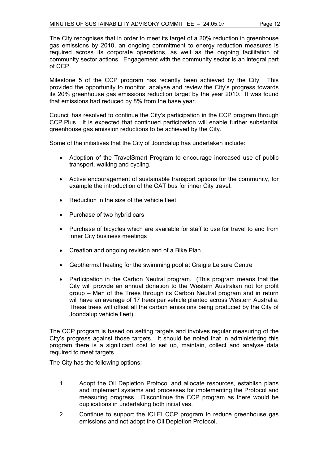The City recognises that in order to meet its target of a 20% reduction in greenhouse gas emissions by 2010, an ongoing commitment to energy reduction measures is required across its corporate operations, as well as the ongoing facilitation of community sector actions. Engagement with the community sector is an integral part of CCP.

Milestone 5 of the CCP program has recently been achieved by the City. This provided the opportunity to monitor, analyse and review the City's progress towards its 20% greenhouse gas emissions reduction target by the year 2010. It was found that emissions had reduced by 8% from the base year.

Council has resolved to continue the City's participation in the CCP program through CCP Plus. It is expected that continued participation will enable further substantial greenhouse gas emission reductions to be achieved by the City.

Some of the initiatives that the City of Joondalup has undertaken include:

- Adoption of the TravelSmart Program to encourage increased use of public transport, walking and cycling.
- Active encouragement of sustainable transport options for the community, for example the introduction of the CAT bus for inner City travel.
- Reduction in the size of the vehicle fleet
- Purchase of two hybrid cars
- Purchase of bicycles which are available for staff to use for travel to and from inner City business meetings
- Creation and ongoing revision and of a Bike Plan
- Geothermal heating for the swimming pool at Craigie Leisure Centre
- Participation in the Carbon Neutral program. (This program means that the City will provide an annual donation to the Western Australian not for profit group – Men of the Trees through its Carbon Neutral program and in return will have an average of 17 trees per vehicle planted across Western Australia. These trees will offset all the carbon emissions being produced by the City of Joondalup vehicle fleet).

The CCP program is based on setting targets and involves regular measuring of the City's progress against those targets. It should be noted that in administering this program there is a significant cost to set up, maintain, collect and analyse data required to meet targets.

The City has the following options:

- 1. Adopt the Oil Depletion Protocol and allocate resources, establish plans and implement systems and processes for implementing the Protocol and measuring progress. Discontinue the CCP program as there would be duplications in undertaking both initiatives.
- 2. Continue to support the ICLEI CCP program to reduce greenhouse gas emissions and not adopt the Oil Depletion Protocol.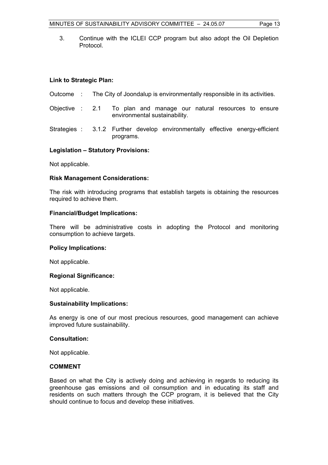3. Continue with the ICLEI CCP program but also adopt the Oil Depletion Protocol.

# **Link to Strategic Plan:**

- Outcome : The City of Joondalup is environmentally responsible in its activities.
- Objective : 2.1 To plan and manage our natural resources to ensure environmental sustainability.
- Strategies : 3.1.2 Further develop environmentally effective energy-efficient programs.

### **Legislation – Statutory Provisions:**

Not applicable.

### **Risk Management Considerations:**

The risk with introducing programs that establish targets is obtaining the resources required to achieve them.

#### **Financial/Budget Implications:**

There will be administrative costs in adopting the Protocol and monitoring consumption to achieve targets.

#### **Policy Implications:**

Not applicable.

#### **Regional Significance:**

Not applicable.

#### **Sustainability Implications:**

As energy is one of our most precious resources, good management can achieve improved future sustainability.

#### **Consultation:**

Not applicable.

# **COMMENT**

Based on what the City is actively doing and achieving in regards to reducing its greenhouse gas emissions and oil consumption and in educating its staff and residents on such matters through the CCP program, it is believed that the City should continue to focus and develop these initiatives.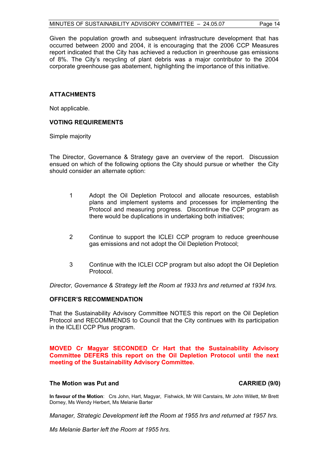Given the population growth and subsequent infrastructure development that has occurred between 2000 and 2004, it is encouraging that the 2006 CCP Measures report indicated that the City has achieved a reduction in greenhouse gas emissions of 8%. The City's recycling of plant debris was a major contributor to the 2004 corporate greenhouse gas abatement, highlighting the importance of this initiative.

# **ATTACHMENTS**

Not applicable.

### **VOTING REQUIREMENTS**

Simple majority

The Director, Governance & Strategy gave an overview of the report. Discussion ensued on which of the following options the City should pursue or whether the City should consider an alternate option:

- 1 Adopt the Oil Depletion Protocol and allocate resources, establish plans and implement systems and processes for implementing the Protocol and measuring progress. Discontinue the CCP program as there would be duplications in undertaking both initiatives;
- 2 Continue to support the ICLEI CCP program to reduce greenhouse gas emissions and not adopt the Oil Depletion Protocol;
- 3 Continue with the ICLEI CCP program but also adopt the Oil Depletion Protocol.

*Director, Governance & Strategy left the Room at 1933 hrs and returned at 1934 hrs.* 

# **OFFICER'S RECOMMENDATION**

That the Sustainability Advisory Committee NOTES this report on the Oil Depletion Protocol and RECOMMENDS to Council that the City continues with its participation in the ICLEI CCP Plus program.

**MOVED Cr Magyar SECONDED Cr Hart that the Sustainability Advisory Committee DEFERS this report on the Oil Depletion Protocol until the next meeting of the Sustainability Advisory Committee.** 

#### The Motion was Put and **CARRIED** (9/0)

**In favour of the Motion**: Crs John, Hart, Magyar, Fishwick, Mr Will Carstairs, Mr John Willett, Mr Brett Dorney, Ms Wendy Herbert, Ms Melanie Barter

*Manager, Strategic Development left the Room at 1955 hrs and returned at 1957 hrs.* 

*Ms Melanie Barter left the Room at 1955 hrs.*